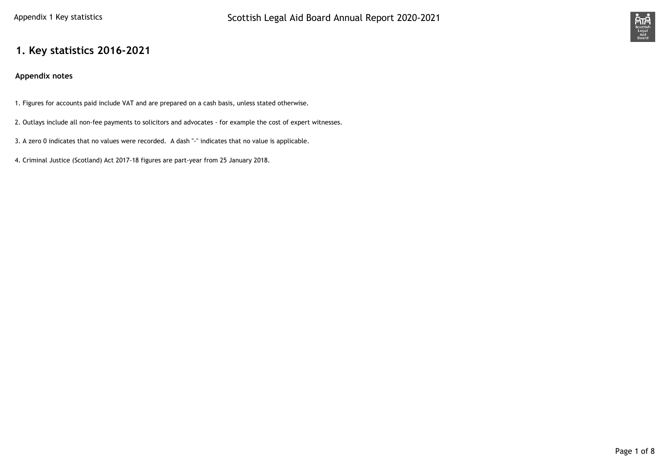

## **1. Key statistics 2016-2021**

#### **Appendix notes**

- 1. Figures for accounts paid include VAT and are prepared on a cash basis, unless stated otherwise.
- 2. Outlays include all non-fee payments to solicitors and advocates for example the cost of expert witnesses.
- 3. A zero 0 indicates that no values were recorded. A dash "-" indicates that no value is applicable.
- 4. Criminal Justice (Scotland) Act 2017-18 figures are part-year from 25 January 2018.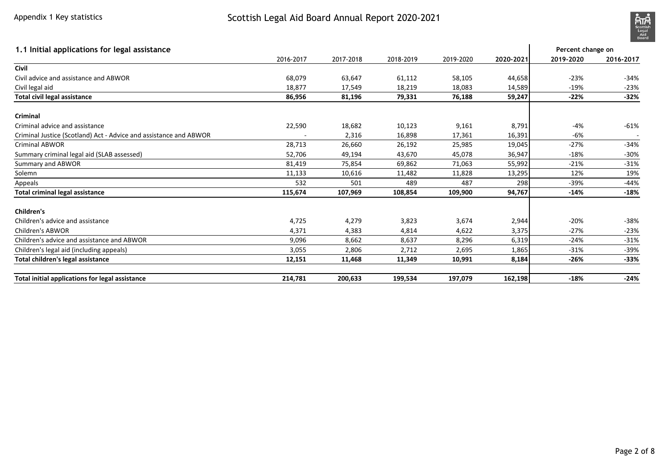

| 1.1 Initial applications for legal assistance                     |           |           |           |           |           | Percent change on |           |
|-------------------------------------------------------------------|-----------|-----------|-----------|-----------|-----------|-------------------|-----------|
|                                                                   | 2016-2017 | 2017-2018 | 2018-2019 | 2019-2020 | 2020-2021 | 2019-2020         | 2016-2017 |
| Civil                                                             |           |           |           |           |           |                   |           |
| Civil advice and assistance and ABWOR                             | 68,079    | 63,647    | 61,112    | 58,105    | 44,658    | $-23%$            | $-34%$    |
| Civil legal aid                                                   | 18,877    | 17,549    | 18,219    | 18,083    | 14,589    | $-19%$            | $-23%$    |
| Total civil legal assistance                                      | 86,956    | 81,196    | 79,331    | 76,188    | 59,247    | $-22%$            | $-32%$    |
| Criminal                                                          |           |           |           |           |           |                   |           |
| Criminal advice and assistance                                    | 22,590    | 18,682    | 10,123    | 9,161     | 8,791     | -4%               | $-61%$    |
| Criminal Justice (Scotland) Act - Advice and assistance and ABWOR |           | 2,316     | 16,898    | 17,361    | 16,391    | -6%               |           |
| <b>Criminal ABWOR</b>                                             | 28,713    | 26,660    | 26,192    | 25,985    | 19,045    | $-27%$            | $-34%$    |
| Summary criminal legal aid (SLAB assessed)                        | 52,706    | 49,194    | 43,670    | 45,078    | 36,947    | $-18%$            | $-30%$    |
| Summary and ABWOR                                                 | 81,419    | 75,854    | 69,862    | 71,063    | 55,992    | $-21%$            | $-31%$    |
| Solemn                                                            | 11,133    | 10,616    | 11,482    | 11,828    | 13,295    | 12%               | 19%       |
| Appeals                                                           | 532       | 501       | 489       | 487       | 298       | $-39%$            | $-44%$    |
| <b>Total criminal legal assistance</b>                            | 115,674   | 107,969   | 108,854   | 109,900   | 94,767    | $-14%$            | $-18%$    |
| <b>Children's</b>                                                 |           |           |           |           |           |                   |           |
| Children's advice and assistance                                  | 4,725     | 4,279     | 3,823     | 3,674     | 2,944     | $-20%$            | $-38%$    |
| <b>Children's ABWOR</b>                                           | 4,371     | 4,383     | 4,814     | 4,622     | 3,375     | $-27%$            | $-23%$    |
| Children's advice and assistance and ABWOR                        | 9,096     | 8,662     | 8,637     | 8,296     | 6,319     | $-24%$            | $-31%$    |
| Children's legal aid (including appeals)                          | 3,055     | 2,806     | 2,712     | 2,695     | 1,865     | $-31%$            | $-39%$    |
| Total children's legal assistance                                 | 12,151    | 11,468    | 11,349    | 10,991    | 8,184     | $-26%$            | $-33%$    |
| Total initial applications for legal assistance                   | 214,781   | 200,633   | 199,534   | 197,079   | 162,198   | $-18%$            | $-24%$    |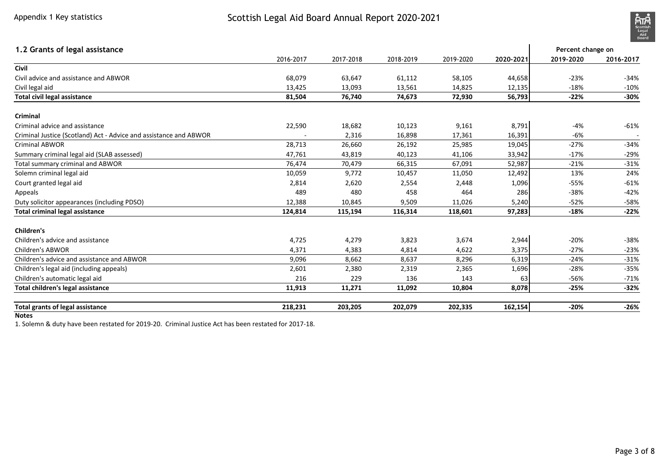

| 1.2 Grants of legal assistance                                    |           |           |           |           |           | Percent change on |           |
|-------------------------------------------------------------------|-----------|-----------|-----------|-----------|-----------|-------------------|-----------|
|                                                                   | 2016-2017 | 2017-2018 | 2018-2019 | 2019-2020 | 2020-2021 | 2019-2020         | 2016-2017 |
| Civil                                                             |           |           |           |           |           |                   |           |
| Civil advice and assistance and ABWOR                             | 68,079    | 63,647    | 61,112    | 58,105    | 44,658    | $-23%$            | $-34%$    |
| Civil legal aid                                                   | 13,425    | 13,093    | 13,561    | 14,825    | 12,135    | $-18%$            | $-10%$    |
| <b>Total civil legal assistance</b>                               | 81,504    | 76,740    | 74,673    | 72,930    | 56,793    | $-22%$            | $-30%$    |
| Criminal                                                          |           |           |           |           |           |                   |           |
| Criminal advice and assistance                                    | 22,590    | 18,682    | 10,123    | 9,161     | 8,791     | $-4%$             | $-61%$    |
| Criminal Justice (Scotland) Act - Advice and assistance and ABWOR |           | 2,316     | 16,898    | 17,361    | 16,391    | $-6%$             |           |
| <b>Criminal ABWOR</b>                                             | 28,713    | 26,660    | 26,192    | 25,985    | 19,045    | $-27%$            | $-34%$    |
| Summary criminal legal aid (SLAB assessed)                        | 47,761    | 43,819    | 40,123    | 41,106    | 33,942    | $-17%$            | $-29%$    |
| Total summary criminal and ABWOR                                  | 76,474    | 70,479    | 66,315    | 67,091    | 52,987    | $-21%$            | $-31%$    |
| Solemn criminal legal aid                                         | 10,059    | 9,772     | 10,457    | 11,050    | 12,492    | 13%               | 24%       |
| Court granted legal aid                                           | 2,814     | 2,620     | 2,554     | 2,448     | 1,096     | $-55%$            | $-61%$    |
| Appeals                                                           | 489       | 480       | 458       | 464       | 286       | $-38%$            | $-42%$    |
| Duty solicitor appearances (including PDSO)                       | 12,388    | 10,845    | 9,509     | 11,026    | 5,240     | $-52%$            | $-58%$    |
| <b>Total criminal legal assistance</b>                            | 124,814   | 115,194   | 116,314   | 118,601   | 97,283    | $-18%$            | $-22%$    |
| <b>Children's</b>                                                 |           |           |           |           |           |                   |           |
| Children's advice and assistance                                  | 4,725     | 4,279     | 3,823     | 3,674     | 2,944     | $-20%$            | $-38%$    |
| Children's ABWOR                                                  | 4,371     | 4,383     | 4,814     | 4,622     | 3,375     | $-27%$            | $-23%$    |
| Children's advice and assistance and ABWOR                        | 9,096     | 8,662     | 8,637     | 8,296     | 6,319     | $-24%$            | $-31%$    |
| Children's legal aid (including appeals)                          | 2,601     | 2,380     | 2,319     | 2,365     | 1,696     | $-28%$            | $-35%$    |
| Children's automatic legal aid                                    | 216       | 229       | 136       | 143       | 63        | $-56%$            | $-71%$    |
| Total children's legal assistance                                 | 11,913    | 11,271    | 11,092    | 10,804    | 8,078     | $-25%$            | $-32%$    |
| Total grants of legal assistance                                  | 218,231   | 203,205   | 202,079   | 202,335   | 162,154   | $-20%$            | $-26%$    |

**Notes**

1. Solemn & duty have been restated for 2019-20. Criminal Justice Act has been restated for 2017-18.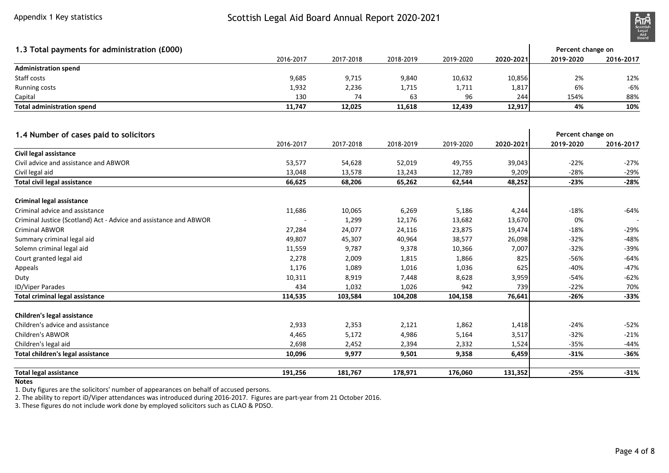

| 1.3 Total payments for administration (£000)                      |           |           |           |           |           | Percent change on |           |
|-------------------------------------------------------------------|-----------|-----------|-----------|-----------|-----------|-------------------|-----------|
|                                                                   | 2016-2017 | 2017-2018 | 2018-2019 | 2019-2020 | 2020-2021 | 2019-2020         | 2016-2017 |
| <b>Administration spend</b>                                       |           |           |           |           |           |                   |           |
| Staff costs                                                       | 9,685     | 9,715     | 9,840     | 10,632    | 10,856    | 2%                | 12%       |
| Running costs                                                     | 1,932     | 2,236     | 1,715     | 1,711     | 1,817     | 6%                | $-6%$     |
| Capital                                                           | 130       | 74        | 63        | 96        | 244       | 154%              | 88%       |
| <b>Total administration spend</b>                                 | 11,747    | 12,025    | 11,618    | 12,439    | 12,917    | 4%                | 10%       |
| 1.4 Number of cases paid to solicitors                            |           |           |           |           |           | Percent change on |           |
|                                                                   | 2016-2017 | 2017-2018 | 2018-2019 | 2019-2020 | 2020-2021 | 2019-2020         | 2016-2017 |
| Civil legal assistance                                            |           |           |           |           |           |                   |           |
| Civil advice and assistance and ABWOR                             | 53,577    | 54,628    | 52,019    | 49,755    | 39,043    | $-22%$            | $-27%$    |
| Civil legal aid                                                   | 13,048    | 13,578    | 13,243    | 12,789    | 9,209     | $-28%$            | $-29%$    |
| Total civil legal assistance                                      | 66,625    | 68,206    | 65,262    | 62,544    | 48,252    | $-23%$            | $-28%$    |
| <b>Criminal legal assistance</b>                                  |           |           |           |           |           |                   |           |
| Criminal advice and assistance                                    | 11,686    | 10,065    | 6,269     | 5,186     | 4,244     | $-18%$            | $-64%$    |
| Criminal Justice (Scotland) Act - Advice and assistance and ABWOR |           | 1,299     | 12,176    | 13,682    | 13,670    | 0%                |           |
| <b>Criminal ABWOR</b>                                             | 27,284    | 24,077    | 24,116    | 23,875    | 19,474    | $-18%$            | $-29%$    |
| Summary criminal legal aid                                        | 49,807    | 45,307    | 40,964    | 38,577    | 26,098    | $-32%$            | $-48%$    |
| Solemn criminal legal aid                                         | 11,559    | 9,787     | 9,378     | 10,366    | 7,007     | $-32%$            | $-39%$    |
| Court granted legal aid                                           | 2,278     | 2,009     | 1,815     | 1,866     | 825       | $-56%$            | $-64%$    |
| Appeals                                                           | 1,176     | 1,089     | 1,016     | 1,036     | 625       | $-40%$            | $-47%$    |
| Duty                                                              | 10,311    | 8,919     | 7,448     | 8,628     | 3,959     | $-54%$            | $-62%$    |
| ID/Viper Parades                                                  | 434       | 1,032     | 1,026     | 942       | 739       | $-22%$            | 70%       |
| <b>Total criminal legal assistance</b>                            | 114,535   | 103,584   | 104,208   | 104,158   | 76,641    | $-26%$            | $-33%$    |
| <b>Children's legal assistance</b>                                |           |           |           |           |           |                   |           |
| Children's advice and assistance                                  | 2,933     | 2,353     | 2,121     | 1,862     | 1,418     | $-24%$            | $-52%$    |
| Children's ABWOR                                                  | 4,465     | 5,172     | 4,986     | 5,164     | 3,517     | $-32%$            | $-21%$    |
| Children's legal aid                                              | 2,698     | 2,452     | 2,394     | 2,332     | 1,524     | $-35%$            | $-44%$    |
| Total children's legal assistance                                 | 10,096    | 9,977     | 9,501     | 9,358     | 6,459     | $-31%$            | $-36%$    |
| <b>Total legal assistance</b>                                     | 191,256   | 181,767   | 178,971   | 176,060   | 131,352   | $-25%$            | $-31%$    |

#### **Notes**

1. Duty figures are the solicitors' number of appearances on behalf of accused persons.

2. The ability to report iD/Viper attendances was introduced during 2016-2017. Figures are part-year from 21 October 2016. 3. These figures do not include work done by employed solicitors such as CLAO & PDSO.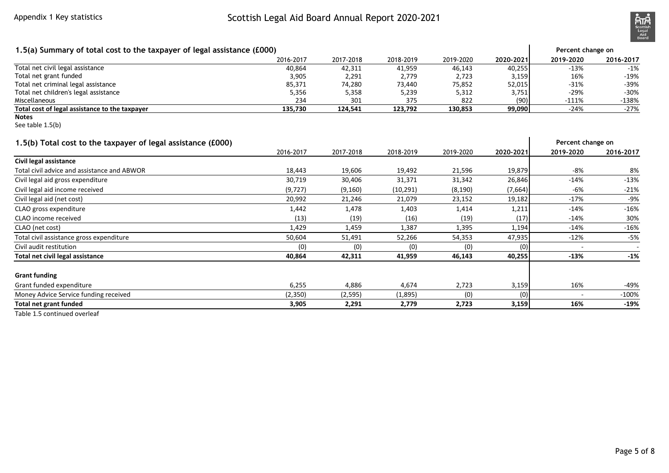# Scottish Legal Aid Board Annual Report 2020-2021



| 1.5(a) Summary of total cost to the taxpayer of legal assistance (£000) |           |           |           |           |           | Percent change on |           |
|-------------------------------------------------------------------------|-----------|-----------|-----------|-----------|-----------|-------------------|-----------|
|                                                                         | 2016-2017 | 2017-2018 | 2018-2019 | 2019-2020 | 2020-2021 | 2019-2020         | 2016-2017 |
| Total net civil legal assistance                                        | 40,864    | 42,311    | 41,959    | 46,143    | 40,255    | $-13%$            | $-1%$     |
| Total net grant funded                                                  | 3,905     | 2,291     | 2,779     | 2,723     | 3,159     | 16%               | $-19%$    |
| Total net criminal legal assistance                                     | 85,371    | 74,280    | 73,440    | 75,852    | 52,015    | $-31%$            | $-39%$    |
| Total net children's legal assistance                                   | 5,356     | 5,358     | 5,239     | 5,312     | 3,751     | $-29%$            | $-30%$    |
| Miscellaneous                                                           | 234       | 301       | 375       | 822       | (90)      | $-111%$           | $-138%$   |
| Total cost of legal assistance to the taxpayer                          | 135,730   | 124,541   | 123,792   | 130,853   | 99,090    | $-24%$            | $-27%$    |
| <b>Notes</b><br>See table 1.5(b)                                        |           |           |           |           |           |                   |           |
| 1.5(b) Total cost to the taxpayer of legal assistance (£000)            |           |           |           |           |           | Percent change on |           |
|                                                                         | 2016-2017 | 2017-2018 | 2018-2019 | 2019-2020 | 2020-2021 | 2019-2020         | 2016-2017 |
| Civil legal assistance                                                  |           |           |           |           |           |                   |           |
| Total civil advice and assistance and ABWOR                             | 18,443    | 19,606    | 19,492    | 21,596    | 19,879    | $-8%$             | 8%        |
| Civil legal aid gross expenditure                                       | 30,719    | 30,406    | 31,371    | 31,342    | 26,846    | $-14%$            | $-13%$    |
| Civil legal aid income received                                         | (9, 727)  | (9, 160)  | (10, 291) | (8, 190)  | (7,664)   | $-6%$             | $-21%$    |
| Civil legal aid (net cost)                                              | 20,992    | 21,246    | 21,079    | 23,152    | 19,182    | $-17%$            | $-9%$     |
| CLAO gross expenditure                                                  | 1,442     | 1,478     | 1,403     | 1,414     | 1,211     | $-14%$            | $-16%$    |
| CLAO income received                                                    | (13)      | (19)      | (16)      | (19)      | (17)      | $-14%$            | 30%       |
| CLAO (net cost)                                                         | 1,429     | 1,459     | 1,387     | 1,395     | 1,194     | $-14%$            | $-16%$    |
| Total civil assistance gross expenditure                                | 50,604    | 51,491    | 52,266    | 54,353    | 47,935    | $-12%$            | $-5%$     |
| Civil audit restitution                                                 | (0)       | (0)       | (0)       | (0)       | (0)       |                   |           |
| Total net civil legal assistance                                        | 40,864    | 42,311    | 41,959    | 46,143    | 40,255    | $-13%$            | $-1%$     |
| <b>Grant funding</b>                                                    |           |           |           |           |           |                   |           |
| Grant funded expenditure                                                | 6,255     | 4,886     | 4,674     | 2,723     | 3,159     | 16%               | $-49%$    |
| Money Advice Service funding received                                   | (2, 350)  | (2, 595)  | (1,895)   | (0)       | (0)       |                   | $-100%$   |
| <b>Total net grant funded</b>                                           | 3,905     | 2,291     | 2,779     | 2,723     | 3,159     | 16%               | $-19%$    |
|                                                                         |           |           |           |           |           |                   |           |

Table 1.5 continued overleaf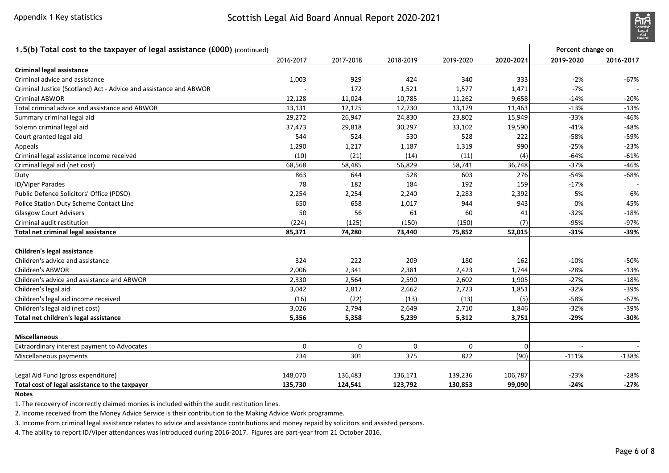### Scottish Legal Aid Board Annual Report 2020-2021



#### **1.5(b) Total cost to the taxpayer of legal assistance (£000)** (continued)2016-2017 2017-2018 2018-2019 2019-2020 **2020-2021 2019-2020 2016-2017Criminal legal assistance** Criminal advice and assistance 1,003 <sup>929</sup> <sup>424</sup> <sup>340</sup> <sup>333</sup> -2% -67%Criminal Justice (Scotland) Act - Advice and assistance and ABWOR - 12.128 11.024 10.785 11.262 1,577 1,471 -7% - 179 1,471 -7% - 172 1,577 1,471 -7% - 179 - 179 - 20% - 11.262 11.262 11.262 11.262 11.262 11.262 11.262 11. Criminal ABWORR 12,128 11,024 10,785 11,262 9,658 -14% -20%  $-13%$ Total criminal advice and assistance and ABWORR 13,131 12,125 12,730 13,179 11,463 -13% -13%  $-46%$ Summary criminal legal aidd 29,272 26,947 24,830 23,802 15,949 -33% -46%  $-48%$ Solemn criminal legal aidd 37,473 29,818 30,297 33,102 19,590 -41% -48%  $-59%$ Court granted legal aid <sup>544</sup> <sup>524</sup> <sup>530</sup> <sup>528</sup> <sup>222</sup> -58% -59% $-23%$ Appeals 1,290 1,217 1,187 1,319 <sup>990</sup> -25% -23% $-61%$ Criminal legal assistance income receivedd (10) (21) (14) (11) (4) -64% -61%  $-46%$ Criminal legal aid (net cost)) 68,568 58,485 56,829 58,741 36,748 -37% -46%  $-68%$ Dutyy 863 644 528 603 276| -54% -68% ID/Viper Parades <sup>78</sup> <sup>182</sup> <sup>184</sup> <sup>192</sup> <sup>159</sup> -17% - Public Defence Solicitors' Office (PDSO) 2,254 2,254 2,240 2,283 2,392 5% 6%45% Police Station Duty Scheme Contact Line <sup>650</sup> <sup>658</sup> 1,017 <sup>944</sup> <sup>943</sup> 0% 45% $-18%$ Glasgow Court Adviserss  $50$  56  $61$  50  $41$  -32% -18%  $-97%$ Criminal audit restitution (224) (125) (150) (150) (7) -95% -97%-39% **Total net criminal legal assistance 85,371 74,280 73,440 75,852 52,015 -31% -39%Children's legal assistance** Children's advice and assistance <sup>324</sup> <sup>222</sup> <sup>209</sup> <sup>180</sup> <sup>162</sup> -10% -50% $-13%$ Children's ABWORR 2,006 2,341 2,381 2,423 1,744 2,28% -13%  $-18%$ Children's advice and assistance and ABWORR 2,330 2,564 2,590 2,602 1,905 2,97% -18%  $-39%$ Children's legal aid 3,042 2,817 2,662 2,723 1,851 -32% -39% $-67%$ Children's legal aid income received (16) (22) (13) (13) (5) -58% -67% $-39%$ Children's legal aid (net cost)) 3,026 2,794 2,649 2,710 1,846 -32% -39%  $-30%$ **Total net children's legal assistance 5,356 5,358 5,239 5,312 3,751 -29% -30%Miscellaneous** Extraordinary interest payment to Advocates <sup>0</sup> <sup>0</sup> <sup>0</sup> <sup>0</sup> <sup>0</sup> - - Miscellaneous payments5 301 301 375 822 (90) -111% -138% <mark>234 301 375 822 (90)</mark> -111% -138% Legal Aid Fund (gross expenditure) 148,070 136,483 136,171 139,236 106,787 -23% -28% $-27%$ **Total cost of legal assistance to the taxpayer 135,730 124,541 123,792 130,853 99,090 -24% -27%Percent change on**

**Notes**

1. The recovery of incorrectly claimed monies is included within the audit restitution lines.

2. Income received from the Money Advice Service is their contribution to the Making Advice Work programme.

3. Income from criminal legal assistance relates to advice and assistance contributions and money repaid by solicitors and assisted persons.

4. The ability to report ID/Viper attendances was introduced during 2016-2017. Figures are part-year from 21 October 2016.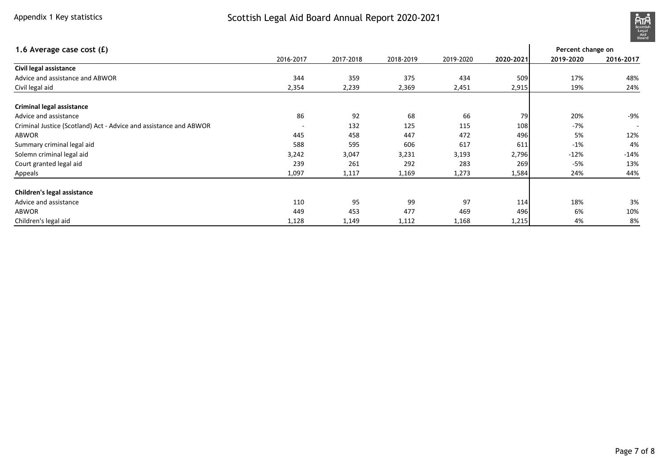# Scottish Legal Aid Board Annual Report 2020-2021



| 1.6 Average case cost (£)                                         |                          |           |           |           |           | Percent change on |           |
|-------------------------------------------------------------------|--------------------------|-----------|-----------|-----------|-----------|-------------------|-----------|
|                                                                   | 2016-2017                | 2017-2018 | 2018-2019 | 2019-2020 | 2020-2021 | 2019-2020         | 2016-2017 |
| Civil legal assistance                                            |                          |           |           |           |           |                   |           |
| Advice and assistance and ABWOR                                   | 344                      | 359       | 375       | 434       | 509       | 17%               | 48%       |
| Civil legal aid                                                   | 2,354                    | 2,239     | 2,369     | 2,451     | 2,915     | 19%               | 24%       |
| Criminal legal assistance                                         |                          |           |           |           |           |                   |           |
| Advice and assistance                                             | 86                       | 92        | 68        | 66        | 79        | 20%               | -9%       |
| Criminal Justice (Scotland) Act - Advice and assistance and ABWOR | $\overline{\phantom{a}}$ | 132       | 125       | 115       | 108       | $-7%$             |           |
| ABWOR                                                             | 445                      | 458       | 447       | 472       | 496       | 5%                | 12%       |
| Summary criminal legal aid                                        | 588                      | 595       | 606       | 617       | 611       | $-1%$             | 4%        |
| Solemn criminal legal aid                                         | 3,242                    | 3,047     | 3,231     | 3,193     | 2,796     | $-12%$            | $-14%$    |
| Court granted legal aid                                           | 239                      | 261       | 292       | 283       | 269       | -5%               | 13%       |
| Appeals                                                           | 1,097                    | 1,117     | 1,169     | 1,273     | 1,584     | 24%               | 44%       |
| Children's legal assistance                                       |                          |           |           |           |           |                   |           |
| Advice and assistance                                             | 110                      | 95        | 99        | 97        | 114       | 18%               | 3%        |
| ABWOR                                                             | 449                      | 453       | 477       | 469       | 496       | 6%                | 10%       |
| Children's legal aid                                              | 1,128                    | 1,149     | 1,112     | 1,168     | 1,215     | 4%                | 8%        |